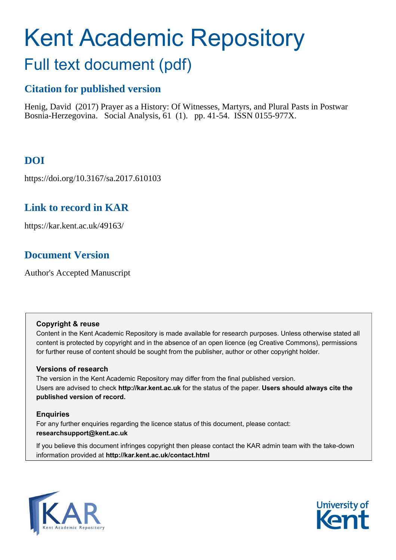# Kent Academic Repository Full text document (pdf)

## **Citation for published version**

Henig, David (2017) Prayer as a History: Of Witnesses, Martyrs, and Plural Pasts in Postwar Bosnia-Herzegovina. Social Analysis, 61 (1). pp. 41-54. ISSN 0155-977X.

## **DOI**

https://doi.org/10.3167/sa.2017.610103

## **Link to record in KAR**

https://kar.kent.ac.uk/49163/

## **Document Version**

Author's Accepted Manuscript

#### **Copyright & reuse**

Content in the Kent Academic Repository is made available for research purposes. Unless otherwise stated all content is protected by copyright and in the absence of an open licence (eg Creative Commons), permissions for further reuse of content should be sought from the publisher, author or other copyright holder.

#### **Versions of research**

The version in the Kent Academic Repository may differ from the final published version. Users are advised to check **http://kar.kent.ac.uk** for the status of the paper. **Users should always cite the published version of record.**

#### **Enquiries**

For any further enquiries regarding the licence status of this document, please contact: **researchsupport@kent.ac.uk**

If you believe this document infringes copyright then please contact the KAR admin team with the take-down information provided at **http://kar.kent.ac.uk/contact.html**



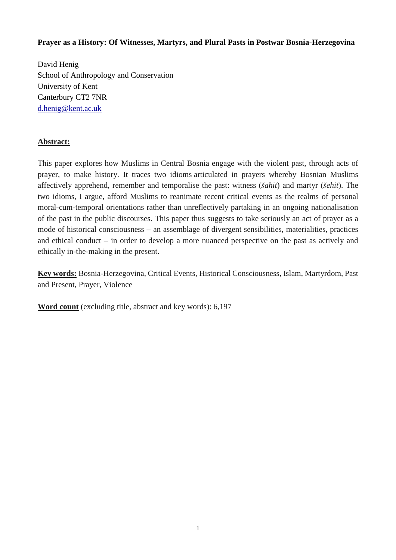#### **Prayer as a History: Of Witnesses, Martyrs, and Plural Pasts in Postwar Bosnia-Herzegovina**

David Henig School of Anthropology and Conservation University of Kent Canterbury CT2 7NR [d.henig@kent.ac.uk](mailto:d.henig@kent.ac.uk)

#### **Abstract:**

This paper explores how Muslims in Central Bosnia engage with the violent past, through acts of prayer, to make history. It traces two idioms articulated in prayers whereby Bosnian Muslims affectively apprehend, remember and temporalise the past: witness (*šahit*) and martyr (*šehit*). The two idioms, I argue, afford Muslims to reanimate recent critical events as the realms of personal moral-cum-temporal orientations rather than unreflectively partaking in an ongoing nationalisation of the past in the public discourses. This paper thus suggests to take seriously an act of prayer as a mode of historical consciousness – an assemblage of divergent sensibilities, materialities, practices and ethical conduct – in order to develop a more nuanced perspective on the past as actively and ethically in-the-making in the present.

**Key words:** Bosnia-Herzegovina, Critical Events, Historical Consciousness, Islam, Martyrdom, Past and Present, Prayer, Violence

**Word count** (excluding title, abstract and key words): 6,197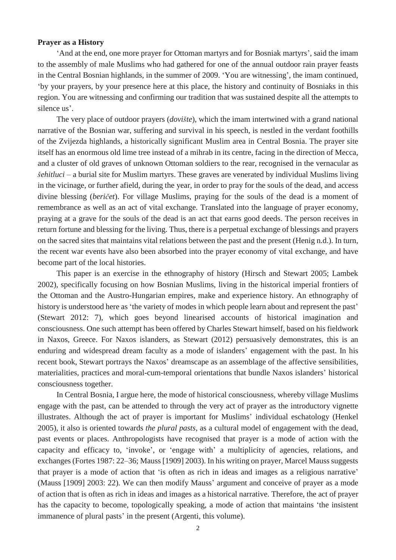#### **Prayer as a History**

'And at the end, one more prayer for Ottoman martyrs and for Bosniak martyrs', said the imam to the assembly of male Muslims who had gathered for one of the annual outdoor rain prayer feasts in the Central Bosnian highlands, in the summer of 2009. 'You are witnessing', the imam continued, 'by your prayers, by your presence here at this place, the history and continuity of Bosniaks in this region. You are witnessing and confirming our tradition that was sustained despite all the attempts to silence us'.

The very place of outdoor prayers (*dovište*), which the imam intertwined with a grand national narrative of the Bosnian war, suffering and survival in his speech, is nestled in the verdant foothills of the Zvijezda highlands, a historically significant Muslim area in Central Bosnia. The prayer site itself has an enormous old lime tree instead of a mihrab in its centre, facing in the direction of Mecca, and a cluster of old graves of unknown Ottoman soldiers to the rear, recognised in the vernacular as *šehitluci* – a burial site for Muslim martyrs. These graves are venerated by individual Muslims living in the vicinage, or further afield, during the year, in order to pray for the souls of the dead, and access divine blessing (*beričet*). For village Muslims, praying for the souls of the dead is a moment of remembrance as well as an act of vital exchange. Translated into the language of prayer economy, praying at a grave for the souls of the dead is an act that earns good deeds. The person receives in return fortune and blessing for the living. Thus, there is a perpetual exchange of blessings and prayers on the sacred sites that maintains vital relations between the past and the present (Henig n.d.). In turn, the recent war events have also been absorbed into the prayer economy of vital exchange, and have become part of the local histories.

This paper is an exercise in the ethnography of history (Hirsch and Stewart 2005; Lambek 2002), specifically focusing on how Bosnian Muslims, living in the historical imperial frontiers of the Ottoman and the Austro-Hungarian empires, make and experience history. An ethnography of history is understood here as 'the variety of modes in which people learn about and represent the past' (Stewart 2012: 7), which goes beyond linearised accounts of historical imagination and consciousness. One such attempt has been offered by Charles Stewart himself, based on his fieldwork in Naxos, Greece. For Naxos islanders, as Stewart (2012) persuasively demonstrates, this is an enduring and widespread dream faculty as a mode of islanders' engagement with the past. In his recent book, Stewart portrays the Naxos' dreamscape as an assemblage of the affective sensibilities, materialities, practices and moral-cum-temporal orientations that bundle Naxos islanders' historical consciousness together.

In Central Bosnia, I argue here, the mode of historical consciousness, whereby village Muslims engage with the past, can be attended to through the very act of prayer as the introductory vignette illustrates. Although the act of prayer is important for Muslims' individual eschatology (Henkel 2005), it also is oriented towards *the plural pasts*, as a cultural model of engagement with the dead, past events or places. Anthropologists have recognised that prayer is a mode of action with the capacity and efficacy to, 'invoke', or 'engage with' a multiplicity of agencies, relations, and exchanges (Fortes 1987: 22–36; Mauss [1909] 2003). In his writing on prayer, Marcel Mauss suggests that prayer is a mode of action that 'is often as rich in ideas and images as a religious narrative' (Mauss [1909] 2003: 22). We can then modify Mauss' argument and conceive of prayer as a mode of action that is often as rich in ideas and images as a historical narrative. Therefore, the act of prayer has the capacity to become, topologically speaking, a mode of action that maintains 'the insistent immanence of plural pasts' in the present (Argenti, this volume).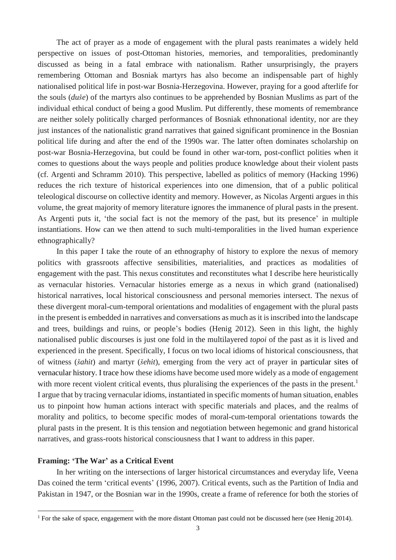The act of prayer as a mode of engagement with the plural pasts reanimates a widely held perspective on issues of post-Ottoman histories, memories, and temporalities, predominantly discussed as being in a fatal embrace with nationalism. Rather unsurprisingly, the prayers remembering Ottoman and Bosniak martyrs has also become an indispensable part of highly nationalised political life in post-war Bosnia-Herzegovina. However, praying for a good afterlife for the souls (*duše*) of the martyrs also continues to be apprehended by Bosnian Muslims as part of the individual ethical conduct of being a good Muslim. Put differently, these moments of remembrance are neither solely politically charged performances of Bosniak ethnonational identity, nor are they just instances of the nationalistic grand narratives that gained significant prominence in the Bosnian political life during and after the end of the 1990s war. The latter often dominates scholarship on post-war Bosnia-Herzegovina, but could be found in other war-torn, post-conflict polities when it comes to questions about the ways people and polities produce knowledge about their violent pasts (cf. Argenti and Schramm 2010). This perspective, labelled as politics of memory (Hacking 1996) reduces the rich texture of historical experiences into one dimension, that of a public political teleological discourse on collective identity and memory. However, as Nicolas Argenti argues in this volume, the great majority of memory literature ignores the immanence of plural pasts in the present. As Argenti puts it, 'the social fact is not the memory of the past, but its presence' in multiple instantiations. How can we then attend to such multi-temporalities in the lived human experience ethnographically?

In this paper I take the route of an ethnography of history to explore the nexus of memory politics with grassroots affective sensibilities, materialities, and practices as modalities of engagement with the past. This nexus constitutes and reconstitutes what I describe here heuristically as vernacular histories. Vernacular histories emerge as a nexus in which grand (nationalised) historical narratives, local historical consciousness and personal memories intersect. The nexus of these divergent moral-cum-temporal orientations and modalities of engagement with the plural pasts in the present is embedded in narratives and conversations as much as it is inscribed into the landscape and trees, buildings and ruins, or people's bodies (Henig 2012). Seen in this light, the highly nationalised public discourses is just one fold in the multilayered *topoi* of the past as it is lived and experienced in the present. Specifically, I focus on two local idioms of historical consciousness, that of witness (*šahit*) and martyr (*šehit*), emerging from the very act of prayer in particular sites of vernacular history. I trace how these idioms have become used more widely as a mode of engagement with more recent violent critical events, thus pluralising the experiences of the pasts in the present.<sup>1</sup> I argue that by tracing vernacular idioms, instantiated in specific moments of human situation, enables us to pinpoint how human actions interact with specific materials and places, and the realms of morality and politics, to become specific modes of moral-cum-temporal orientations towards the plural pasts in the present. It is this tension and negotiation between hegemonic and grand historical narratives, and grass-roots historical consciousness that I want to address in this paper.

#### **Framing: 'The War' as a Critical Event**

 $\overline{a}$ 

In her writing on the intersections of larger historical circumstances and everyday life, Veena Das coined the term 'critical events' (1996, 2007). Critical events, such as the Partition of India and Pakistan in 1947, or the Bosnian war in the 1990s, create a frame of reference for both the stories of

<sup>&</sup>lt;sup>1</sup> For the sake of space, engagement with the more distant Ottoman past could not be discussed here (see Henig 2014).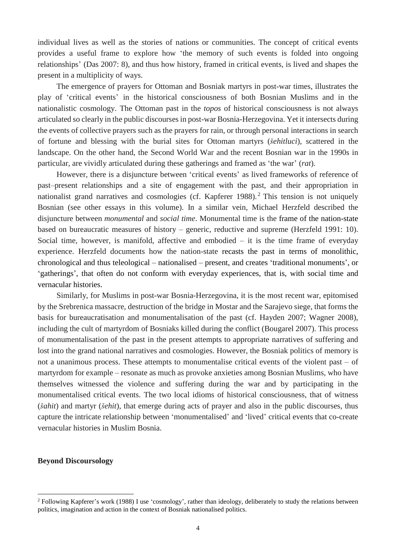individual lives as well as the stories of nations or communities. The concept of critical events provides a useful frame to explore how 'the memory of such events is folded into ongoing relationships' (Das 2007: 8), and thus how history, framed in critical events, is lived and shapes the present in a multiplicity of ways.

The emergence of prayers for Ottoman and Bosniak martyrs in post-war times, illustrates the play of 'critical events' in the historical consciousness of both Bosnian Muslims and in the nationalistic cosmology. The Ottoman past in the *topos* of historical consciousness is not always articulated so clearly in the public discoursesin post-war Bosnia-Herzegovina. Yet it intersects during the events of collective prayers such as the prayers for rain, or through personal interactions in search of fortune and blessing with the burial sites for Ottoman martyrs (*šehitluci*), scattered in the landscape. On the other hand, the Second World War and the recent Bosnian war in the 1990s in particular, are vividly articulated during these gatherings and framed as 'the war' (*rat*).

However, there is a disjuncture between 'critical events' as lived frameworks of reference of past–present relationships and a site of engagement with the past, and their appropriation in nationalist grand narratives and cosmologies (cf. Kapferer 1988).<sup>2</sup> This tension is not uniquely Bosnian (see other essays in this volume). In a similar vein, Michael Herzfeld described the disjuncture between *monumental* and *social time*. Monumental time is the frame of the nation-state based on bureaucratic measures of history – generic, reductive and supreme (Herzfeld 1991: 10). Social time, however, is manifold, affective and embodied – it is the time frame of everyday experience. Herzfeld documents how the nation-state recasts the past in terms of monolithic, chronological and thus teleological – nationalised – present, and creates 'traditional monuments', or 'gatherings', that often do not conform with everyday experiences, that is, with social time and vernacular histories.

Similarly, for Muslims in post-war Bosnia-Herzegovina, it is the most recent war, epitomised by the Srebrenica massacre, destruction of the bridge in Mostar and the Sarajevo siege, that forms the basis for bureaucratisation and monumentalisation of the past (cf. Hayden 2007; Wagner 2008), including the cult of martyrdom of Bosniaks killed during the conflict (Bougarel 2007). This process of monumentalisation of the past in the present attempts to appropriate narratives of suffering and lost into the grand national narratives and cosmologies. However, the Bosniak politics of memory is not a unanimous process. These attempts to monumentalise critical events of the violent past – of martyrdom for example – resonate as much as provoke anxieties among Bosnian Muslims, who have themselves witnessed the violence and suffering during the war and by participating in the monumentalised critical events. The two local idioms of historical consciousness, that of witness (*šahit*) and martyr (*šehit*), that emerge during acts of prayer and also in the public discourses, thus capture the intricate relationship between 'monumentalised' and 'lived' critical events that co-create vernacular histories in Muslim Bosnia.

#### **Beyond Discoursology**

<sup>2</sup> Following Kapferer's work (1988) I use 'cosmology', rather than ideology, deliberately to study the relations between politics, imagination and action in the context of Bosniak nationalised politics.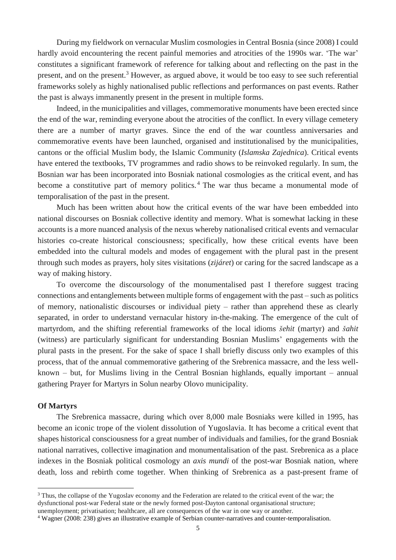During my fieldwork on vernacular Muslim cosmologies in Central Bosnia (since 2008) I could hardly avoid encountering the recent painful memories and atrocities of the 1990s war. 'The war' constitutes a significant framework of reference for talking about and reflecting on the past in the present, and on the present.<sup>3</sup> However, as argued above, it would be too easy to see such referential frameworks solely as highly nationalised public reflections and performances on past events. Rather the past is always immanently present in the present in multiple forms.

Indeed, in the municipalities and villages, commemorative monuments have been erected since the end of the war, reminding everyone about the atrocities of the conflict. In every village cemetery there are a number of martyr graves. Since the end of the war countless anniversaries and commemorative events have been launched, organised and institutionalised by the municipalities, cantons or the official Muslim body, the Islamic Community (*Islamska Zajednica*). Critical events have entered the textbooks, TV programmes and radio shows to be reinvoked regularly. In sum, the Bosnian war has been incorporated into Bosniak national cosmologies as the critical event, and has become a constitutive part of memory politics.<sup>4</sup> The war thus became a monumental mode of temporalisation of the past in the present.

Much has been written about how the critical events of the war have been embedded into national discourses on Bosniak collective identity and memory. What is somewhat lacking in these accounts is a more nuanced analysis of the nexus whereby nationalised critical events and vernacular histories co-create historical consciousness; specifically, how these critical events have been embedded into the cultural models and modes of engagement with the plural past in the present through such modes as prayers, holy sites visitations (*zijáret*) or caring for the sacred landscape as a way of making history.

To overcome the discoursology of the monumentalised past I therefore suggest tracing connections and entanglements between multiple forms of engagement with the past – such as politics of memory, nationalistic discourses or individual piety – rather than apprehend these as clearly separated, in order to understand vernacular history in-the-making. The emergence of the cult of martyrdom, and the shifting referential frameworks of the local idioms *šehit* (martyr) and *šahit* (witness) are particularly significant for understanding Bosnian Muslims' engagements with the plural pasts in the present. For the sake of space I shall briefly discuss only two examples of this process, that of the annual commemorative gathering of the Srebrenica massacre, and the less wellknown – but, for Muslims living in the Central Bosnian highlands, equally important – annual gathering Prayer for Martyrs in Solun nearby Olovo municipality.

#### **Of Martyrs**

 $\overline{a}$ 

The Srebrenica massacre, during which over 8,000 male Bosniaks were killed in 1995, has become an iconic trope of the violent dissolution of Yugoslavia. It has become a critical event that shapes historical consciousness for a great number of individuals and families, for the grand Bosniak national narratives, collective imagination and monumentalisation of the past. Srebrenica as a place indexes in the Bosniak political cosmology an *axis mundi* of the post-war Bosniak nation, where death, loss and rebirth come together. When thinking of Srebrenica as a past-present frame of

<sup>&</sup>lt;sup>3</sup> Thus, the collapse of the Yugoslav economy and the Federation are related to the critical event of the war; the dysfunctional post-war Federal state or the newly formed post-Dayton cantonal organisational structure;

unemployment; privatisation; healthcare, all are consequences of the war in one way or another.

<sup>4</sup> Wagner (2008: 238) gives an illustrative example of Serbian counter-narratives and counter-temporalisation.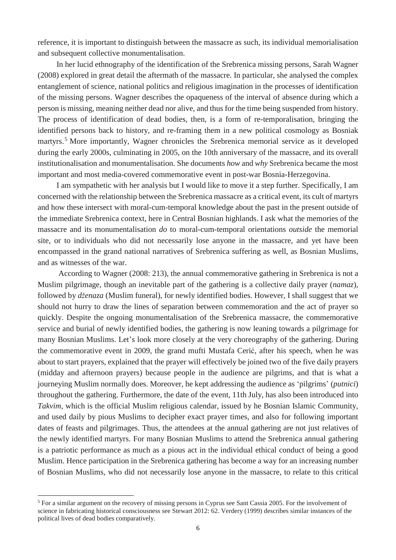reference, it is important to distinguish between the massacre as such, its individual memorialisation and subsequent collective monumentalisation.

In her lucid ethnography of the identification of the Srebrenica missing persons, Sarah Wagner (2008) explored in great detail the aftermath of the massacre. In particular, she analysed the complex entanglement of science, national politics and religious imagination in the processes of identification of the missing persons. Wagner describes the opaqueness of the interval of absence during which a person is missing, meaning neither dead nor alive, and thus for the time being suspended from history. The process of identification of dead bodies, then, is a form of re-temporalisation, bringing the identified persons back to history, and re-framing them in a new political cosmology as Bosniak martyrs.<sup>5</sup> More importantly, Wagner chronicles the Srebrenica memorial service as it developed during the early 2000s, culminating in 2005, on the 10th anniversary of the massacre, and its overall institutionalisation and monumentalisation. She documents *how* and *why* Srebrenica became the most important and most media-covered commemorative event in post-war Bosnia-Herzegovina.

I am sympathetic with her analysis but I would like to move it a step further. Specifically, I am concerned with the relationship between the Srebrenica massacre as a critical event, its cult of martyrs and how these intersect with moral-cum-temporal knowledge about the past in the present outside of the immediate Srebrenica context, here in Central Bosnian highlands. I ask what the memories of the massacre and its monumentalisation *do* to moral-cum-temporal orientations *outside* the memorial site, or to individuals who did not necessarily lose anyone in the massacre, and yet have been encompassed in the grand national narratives of Srebrenica suffering as well, as Bosnian Muslims, and as witnesses of the war.

According to Wagner (2008: 213), the annual commemorative gathering in Srebrenica is not a Muslim pilgrimage, though an inevitable part of the gathering is a collective daily prayer (*namaz*), followed by *dženaza* (Muslim funeral), for newly identified bodies. However, I shall suggest that we should not hurry to draw the lines of separation between commemoration and the act of prayer so quickly. Despite the ongoing monumentalisation of the Srebrenica massacre, the commemorative service and burial of newly identified bodies, the gathering is now leaning towards a pilgrimage for many Bosnian Muslims. Let's look more closely at the very choreography of the gathering. During the commemorative event in 2009, the grand mufti Mustafa Cerić, after his speech, when he was about to start prayers, explained that the prayer will effectively be joined two of the five daily prayers (midday and afternoon prayers) because people in the audience are pilgrims, and that is what a journeying Muslim normally does. Moreover, he kept addressing the audience as 'pilgrims' (*putnici*) throughout the gathering. Furthermore, the date of the event, 11th July, has also been introduced into *Takvim*, which is the official Muslim religious calendar, issued by he Bosnian Islamic Community, and used daily by pious Muslims to decipher exact prayer times, and also for following important dates of feasts and pilgrimages. Thus, the attendees at the annual gathering are not just relatives of the newly identified martyrs. For many Bosnian Muslims to attend the Srebrenica annual gathering is a patriotic performance as much as a pious act in the individual ethical conduct of being a good Muslim. Hence participation in the Srebrenica gathering has become a way for an increasing number of Bosnian Muslims, who did not necessarily lose anyone in the massacre, to relate to this critical

<sup>5</sup> For a similar argument on the recovery of missing persons in Cyprus see Sant Cassia 2005. For the involvement of science in fabricating historical consciousness see Stewart 2012: 62. Verdery (1999) describes similar instances of the political lives of dead bodies comparatively.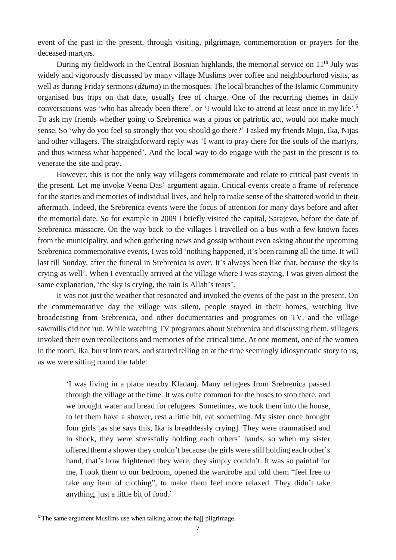event of the past in the present, through visiting, pilgrimage, commemoration or prayers for the deceased martyrs.

During my fieldwork in the Central Bosnian highlands, the memorial service on 11<sup>th</sup> July was widely and vigorously discussed by many village Muslims over coffee and neighbourhood visits, as well as during Friday sermons (*džuma*) in the mosques. The local branches of the Islamic Community organised bus trips on that date, usually free of charge. One of the recurring themes in daily conversations was 'who has already been there', or 'I would like to attend at least once in my life'. 6 To ask my friends whether going to Srebrenica was a pious or patriotic act, would not make much sense. So 'why do you feel so strongly that you should go there?' I asked my friends Mujo, Ika, Nijas and other villagers. The straightforward reply was 'I want to pray there for the souls of the martyrs, and thus witness what happened'. And the local way to do engage with the past in the present is to venerate the site and pray.

However, this is not the only way villagers commemorate and relate to critical past events in the present. Let me invoke Veena Das' argument again. Critical events create a frame of reference for the stories and memories of individual lives, and help to make sense of the shattered world in their aftermath. Indeed, the Srebrenica events were the focus of attention for many days before and after the memorial date. So for example in 2009 I briefly visited the capital, Sarajevo, before the date of Srebrenica massacre. On the way back to the villages I travelled on a bus with a few known faces from the municipality, and when gathering news and gossip without even asking about the upcoming Srebrenica commemorative events, I was told 'nothing happened, it's been raining all the time. It will last till Sunday, after the funeral in Srebrenica is over. It's always been like that, because the sky is crying as well'. When I eventually arrived at the village where I was staying, I was given almost the same explanation, 'the sky is crying, the rain is Allah's tears'.

It was not just the weather that resonated and invoked the events of the past in the present. On the commemorative day the village was silent, people stayed in their homes, watching live broadcasting from Srebrenica, and other documentaries and programes on TV, and the village sawmills did not run. While watching TV programes about Srebrenica and discussing them, villagers invoked their own recollections and memories of the critical time. At one moment, one of the women in the room, Ika, burst into tears, and started telling an at the time seemingly idiosyncratic story to us, as we were sitting round the table:

'I was living in a place nearby Kladanj. Many refugees from Srebrenica passed through the village at the time. It was quite common for the buses to stop there, and we brought water and bread for refugees. Sometimes, we took them into the house, to let them have a shower, rest a little bit, eat something. My sister once brought four girls [as she says this, Ika is breathlessly crying]. They were traumatised and in shock, they were stressfully holding each others' hands, so when my sister offered them a shower they couldn't because the girls were still holding each other's hand, that's how frightened they were, they simply couldn't. It was so painful for me, I took them to our bedroom, opened the wardrobe and told them "feel free to take any item of clothing", to make them feel more relaxed. They didn't take anything, just a little bit of food.'

<sup>&</sup>lt;sup>6</sup> The same argument Muslims use when talking about the hajj pilgrimage.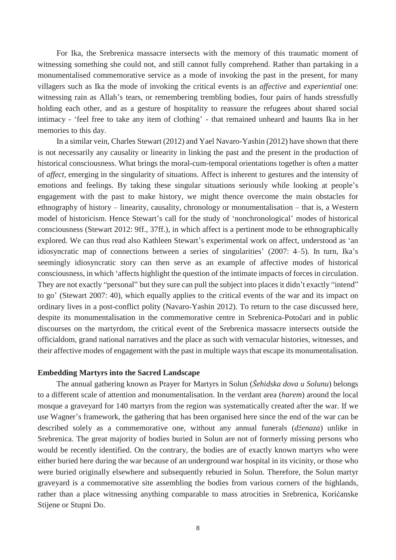For Ika, the Srebrenica massacre intersects with the memory of this traumatic moment of witnessing something she could not, and still cannot fully comprehend. Rather than partaking in a monumentalised commemorative service as a mode of invoking the past in the present, for many villagers such as Ika the mode of invoking the critical events is an *affective* and *experiential* one: witnessing rain as Allah's tears, or remembering trembling bodies, four pairs of hands stressfully holding each other, and as a gesture of hospitality to reassure the refugees about shared social intimacy - 'feel free to take any item of clothing' - that remained unheard and haunts Ika in her memories to this day.

In a similar vein, Charles Stewart (2012) and Yael Navaro-Yashin (2012) have shown that there is not necessarily any causality or linearity in linking the past and the present in the production of historical consciousness. What brings the moral-cum-temporal orientations together is often a matter of *affect*, emerging in the singularity of situations. Affect is inherent to gestures and the intensity of emotions and feelings. By taking these singular situations seriously while looking at people's engagement with the past to make history, we might thence overcome the main obstacles for ethnography of history – linearity, causality, chronology or monumentalisation – that is, a Western model of historicism. Hence Stewart's call for the study of 'nonchronological' modes of historical consciousness (Stewart 2012: 9ff., 37ff.), in which affect is a pertinent mode to be ethnographically explored. We can thus read also Kathleen Stewart's experimental work on affect, understood as 'an idiosyncratic map of connections between a series of singularities' (2007: 4–5). In turn, Ika's seemingly idiosyncratic story can then serve as an example of affective modes of historical consciousness, in which 'affects highlight the question of the intimate impacts of forces in circulation. They are not exactly "personal" but they sure can pull the subject into places it didn't exactly "intend" to go' (Stewart 2007: 40), which equally applies to the critical events of the war and its impact on ordinary lives in a post-conflict polity (Navaro-Yashin 2012). To return to the case discussed here, despite its monumentalisation in the commemorative centre in Srebrenica-Potočari and in public discourses on the martyrdom, the critical event of the Srebrenica massacre intersects outside the officialdom, grand national narratives and the place as such with vernacular histories, witnesses, and their affective modes of engagement with the past in multiple waysthat escape its monumentalisation.

#### **Embedding Martyrs into the Sacred Landscape**

The annual gathering known as Prayer for Martyrs in Solun (*Šehidska dova u Solunu*) belongs to a different scale of attention and monumentalisation. In the verdant area (*harem*) around the local mosque a graveyard for 140 martyrs from the region was systematically created after the war. If we use Wagner's framework, the gathering that has been organised here since the end of the war can be described solely as a commemorative one, without any annual funerals (*dženaza*) unlike in Srebrenica. The great majority of bodies buried in Solun are not of formerly missing persons who would be recently identified. On the contrary, the bodies are of exactly known martyrs who were either buried here during the war because of an underground war hospital in its vicinity, or those who were buried originally elsewhere and subsequently reburied in Solun. Therefore, the Solun martyr graveyard is a commemorative site assembling the bodies from various corners of the highlands, rather than a place witnessing anything comparable to mass atrocities in Srebrenica, Korićanske Stijene or Stupni Do.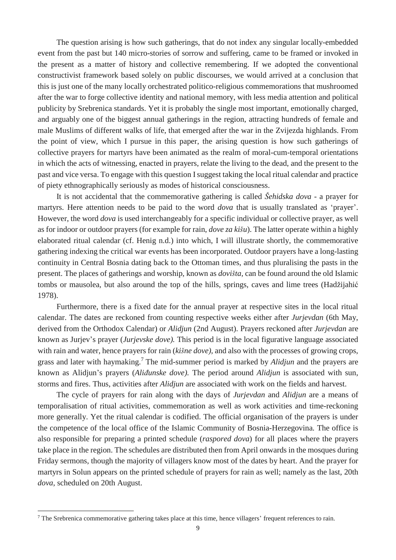The question arising is how such gatherings, that do not index any singular locally-embedded event from the past but 140 micro-stories of sorrow and suffering, came to be framed or invoked in the present as a matter of history and collective remembering. If we adopted the conventional constructivist framework based solely on public discourses, we would arrived at a conclusion that this is just one of the many locally orchestrated politico-religious commemorations that mushroomed after the war to forge collective identity and national memory, with less media attention and political publicity by Srebrenica standards. Yet it is probably the single most important, emotionally charged, and arguably one of the biggest annual gatherings in the region, attracting hundreds of female and male Muslims of different walks of life, that emerged after the war in the Zvijezda highlands. From the point of view, which I pursue in this paper, the arising question is how such gatherings of collective prayers for martyrs have been animated as the realm of moral-cum-temporal orientations in which the acts of witnessing, enacted in prayers, relate the living to the dead, and the present to the past and vice versa. To engage with this question Isuggest taking the local ritual calendar and practice of piety ethnographically seriously as modes of historical consciousness.

It is not accidental that the commemorative gathering is called *Šehidska dova* - a prayer for martyrs. Here attention needs to be paid to the word *dova* that is usually translated as 'prayer'. However, the word *dova* is used interchangeably for a specific individual or collective prayer, as well as for indoor or outdoor prayers (for example for rain, *dove za kišu*). The latter operate within a highly elaborated ritual calendar (cf. Henig n.d.) into which, I will illustrate shortly, the commemorative gathering indexing the critical war events has been incorporated. Outdoor prayers have a long-lasting continuity in Central Bosnia dating back to the Ottoman times, and thus pluralising the pasts in the present. The places of gatherings and worship, known as *dovišta,* can be found around the old Islamic tombs or mausolea*,* but also around the top of the hills, springs, caves and lime trees (Hadžijahić 1978).

Furthermore, there is a fixed date for the annual prayer at respective sites in the local ritual calendar. The dates are reckoned from counting respective weeks either after *Jurjevdan* (6th May, derived from the Orthodox Calendar) or *Alidjun* (2nd August). Prayers reckoned after *Jurjevdan* are known as Jurjev's prayer (*Jurjevske dove).* This period is in the local figurative language associated with rain and water, hence prayers for rain (*kišne dove),* and also with the processes of growing crops, grass and later with haymaking.<sup>7</sup> The mid-summer period is marked by *Alidjun* and the prayers are known as Alidjun's prayers (*Aliđunske dove).* The period around *Alidjun* is associated with sun, storms and fires. Thus, activities after *Alidjun* are associated with work on the fields and harvest.

The cycle of prayers for rain along with the days of *Jurjevdan* and *Alidjun* are a means of temporalisation of ritual activities, commemoration as well as work activities and time-reckoning more generally. Yet the ritual calendar is codified. The official organisation of the prayers is under the competence of the local office of the Islamic Community of Bosnia-Herzegovina*.* The office is also responsible for preparing a printed schedule (*raspored dova*) for all places where the prayers take place in the region. The schedules are distributed then from April onwards in the mosques during Friday sermons, though the majority of villagers know most of the dates by heart. And the prayer for martyrs in Solun appears on the printed schedule of prayers for rain as well; namely as the last, 20th *dova*, scheduled on 20th August.

<sup>&</sup>lt;sup>7</sup> The Srebrenica commemorative gathering takes place at this time, hence villagers' frequent references to rain.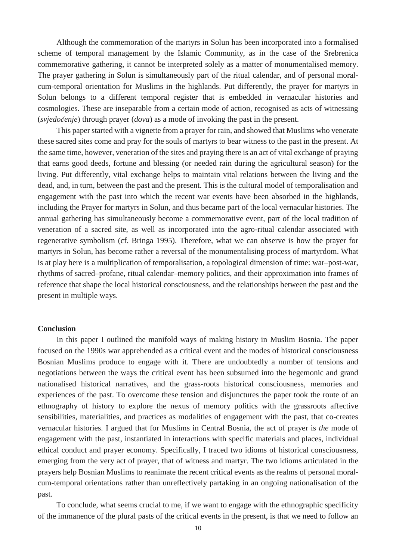Although the commemoration of the martyrs in Solun has been incorporated into a formalised scheme of temporal management by the Islamic Community, as in the case of the Srebrenica commemorative gathering, it cannot be interpreted solely as a matter of monumentalised memory. The prayer gathering in Solun is simultaneously part of the ritual calendar, and of personal moralcum-temporal orientation for Muslims in the highlands. Put differently, the prayer for martyrs in Solun belongs to a different temporal register that is embedded in vernacular histories and cosmologies. These are inseparable from a certain mode of action, recognised as acts of witnessing (*svjedočenje*) through prayer (*dova*) as a mode of invoking the past in the present.

This paper started with a vignette from a prayer for rain, and showed that Muslims who venerate these sacred sites come and pray for the souls of martyrs to bear witness to the past in the present. At the same time, however, veneration of the sites and praying there is an act of vital exchange of praying that earns good deeds, fortune and blessing (or needed rain during the agricultural season) for the living. Put differently, vital exchange helps to maintain vital relations between the living and the dead, and, in turn, between the past and the present. This is the cultural model of temporalisation and engagement with the past into which the recent war events have been absorbed in the highlands, including the Prayer for martyrs in Solun, and thus became part of the local vernacular histories. The annual gathering has simultaneously become a commemorative event, part of the local tradition of veneration of a sacred site, as well as incorporated into the agro-ritual calendar associated with regenerative symbolism (cf. Bringa 1995). Therefore, what we can observe is how the prayer for martyrs in Solun, has become rather a reversal of the monumentalising process of martyrdom. What is at play here is a multiplication of temporalisation, a topological dimension of time: war–post-war, rhythms of sacred–profane, ritual calendar–memory politics, and their approximation into frames of reference that shape the local historical consciousness, and the relationships between the past and the present in multiple ways.

#### **Conclusion**

In this paper I outlined the manifold ways of making history in Muslim Bosnia. The paper focused on the 1990s war apprehended as a critical event and the modes of historical consciousness Bosnian Muslims produce to engage with it. There are undoubtedly a number of tensions and negotiations between the ways the critical event has been subsumed into the hegemonic and grand nationalised historical narratives, and the grass-roots historical consciousness, memories and experiences of the past. To overcome these tension and disjunctures the paper took the route of an ethnography of history to explore the nexus of memory politics with the grassroots affective sensibilities, materialities, and practices as modalities of engagement with the past, that co-creates vernacular histories. I argued that for Muslims in Central Bosnia, the act of prayer is *the* mode of engagement with the past, instantiated in interactions with specific materials and places, individual ethical conduct and prayer economy. Specifically, I traced two idioms of historical consciousness, emerging from the very act of prayer, that of witness and martyr. The two idioms articulated in the prayers help Bosnian Muslims to reanimate the recent critical events as the realms of personal moralcum-temporal orientations rather than unreflectively partaking in an ongoing nationalisation of the past.

To conclude, what seems crucial to me, if we want to engage with the ethnographic specificity of the immanence of the plural pasts of the critical events in the present, is that we need to follow an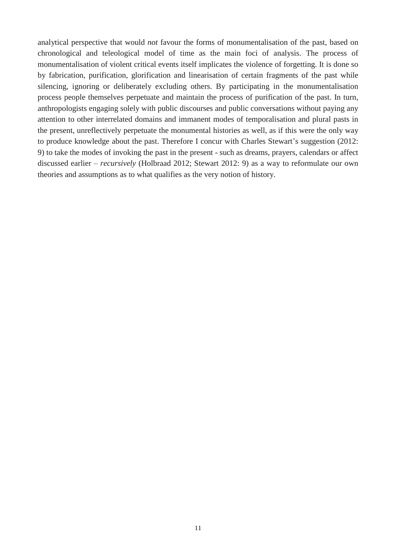analytical perspective that would *not* favour the forms of monumentalisation of the past, based on chronological and teleological model of time as the main foci of analysis. The process of monumentalisation of violent critical events itself implicates the violence of forgetting. It is done so by fabrication, purification, glorification and linearisation of certain fragments of the past while silencing, ignoring or deliberately excluding others. By participating in the monumentalisation process people themselves perpetuate and maintain the process of purification of the past. In turn, anthropologists engaging solely with public discourses and public conversations without paying any attention to other interrelated domains and immanent modes of temporalisation and plural pasts in the present, unreflectively perpetuate the monumental histories as well, as if this were the only way to produce knowledge about the past. Therefore I concur with Charles Stewart's suggestion (2012: 9) to take the modes of invoking the past in the present - such as dreams, prayers, calendars or affect discussed earlier – *recursively* (Holbraad 2012; Stewart 2012: 9) as a way to reformulate our own theories and assumptions as to what qualifies as the very notion of history.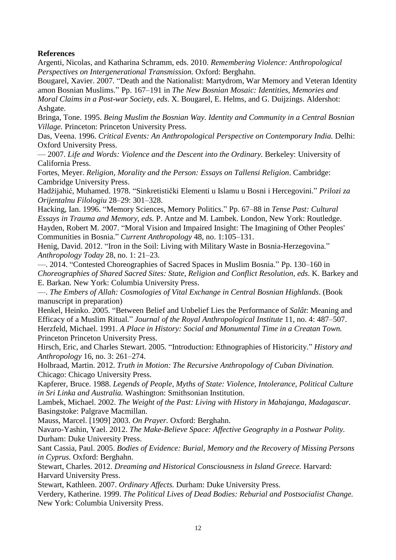#### **References**

Argenti, Nicolas, and Katharina Schramm, eds. 2010. *Remembering Violence: Anthropological Perspectives on Intergenerational Transmission.* Oxford: Berghahn.

Bougarel, Xavier. 2007. "Death and the Nationalist: Martydrom, War Memory and Veteran Identity amon Bosnian Muslims." Pp. 167–191 in *The New Bosnian Mosaic: Identities, Memories and Moral Claims in a Post-war Society, eds*. X. Bougarel, E. Helms, and G. Duijzings. Aldershot: Ashgate.

Bringa, Tone. 1995. *Being Muslim the Bosnian Way. Identity and Community in a Central Bosnian Village.* Princeton: Princeton University Press.

Das, Veena. 1996. *Critical Events: An Anthropological Perspective on Contemporary India.* Delhi: Oxford University Press.

— 2007. *Life and Words: Violence and the Descent into the Ordinary.* Berkeley: University of California Press.

Fortes, Meyer. *Religion, Morality and the Person: Essays on Tallensi Religion*. Cambridge: Cambridge University Press.

Hadžijahić, Muhamed. 1978. "Sinkretistički Elementi u Islamu u Bosni i Hercegovini." *Prilozi za Orijentalnu Filologiu* 28–29: 301–328.

Hacking, Ian. 1996. "Memory Sciences, Memory Politics." Pp. 67–88 in *Tense Past: Cultural Essays in Trauma and Memory, eds.* P. Antze and M. Lambek. London, New York: Routledge. Hayden, Robert M. 2007. "Moral Vision and Impaired Insight: The Imagining of Other Peoples' Communities in Bosnia." *Current Anthropology* 48, no. 1:105–131.

Henig, David. 2012. "Iron in the Soil: Living with Military Waste in Bosnia-Herzegovina." *Anthropology Today* 28, no. 1: 21–23.

––. 2014. "Contested Choreographies of Sacred Spaces in Muslim Bosnia." Pp. 130–160 in *Choreographies of Shared Sacred Sites: State, Religion and Conflict Resolution*, *eds*. K. Barkey and E. Barkan. New York: Columbia University Press.

––. *The Embers of Allah: Cosmologies of Vital Exchange in Central Bosnian Highlands*. (Book manuscript in preparation)

Henkel, Heinko. 2005. "Between Belief and Unbelief Lies the Performance of *Salât*: Meaning and Efficacy of a Muslim Ritual." *Journal of the Royal Anthropological Institute* 11, no. 4: 487–507. Herzfeld, Michael. 1991. *A Place in History: Social and Monumental Time in a Creatan Town.* Princeton Princeton University Press.

Hirsch, Eric, and Charles Stewart. 2005. "Introduction: Ethnographies of Historicity." *History and Anthropology* 16, no. 3: 261–274.

Holbraad, Martin. 2012. *Truth in Motion: The Recursive Anthropology of Cuban Divination.* Chicago: Chicago University Press.

Kapferer, Bruce. 1988. *Legends of People, Myths of State: Violence, Intolerance, Political Culture in Sri Linka and Australia.* Washington: Smithsonian Institution.

Lambek, Michael. 2002. *The Weight of the Past: Living with History in Mahajanga, Madagascar.* Basingstoke: Palgrave Macmillan.

Mauss, Marcel. [1909] 2003. *On Prayer.* Oxford: Berghahn.

Navaro-Yashin, Yael. 2012. *The Make-Believe Space: Affective Geography in a Postwar Polity.* Durham: Duke University Press.

Sant Cassia, Paul. 2005. *Bodies of Evidence: Burial, Memory and the Recovery of Missing Persons in Cyprus.* Oxford: Berghahn.

Stewart, Charles. 2012. *Dreaming and Historical Consciousness in Island Greece.* Harvard: Harvard University Press.

Stewart, Kathleen. 2007. *Ordinary Affects.* Durham: Duke University Press.

Verdery, Katherine. 1999. *The Political Lives of Dead Bodies: Reburial and Postsocialist Change.* New York: Columbia University Press.